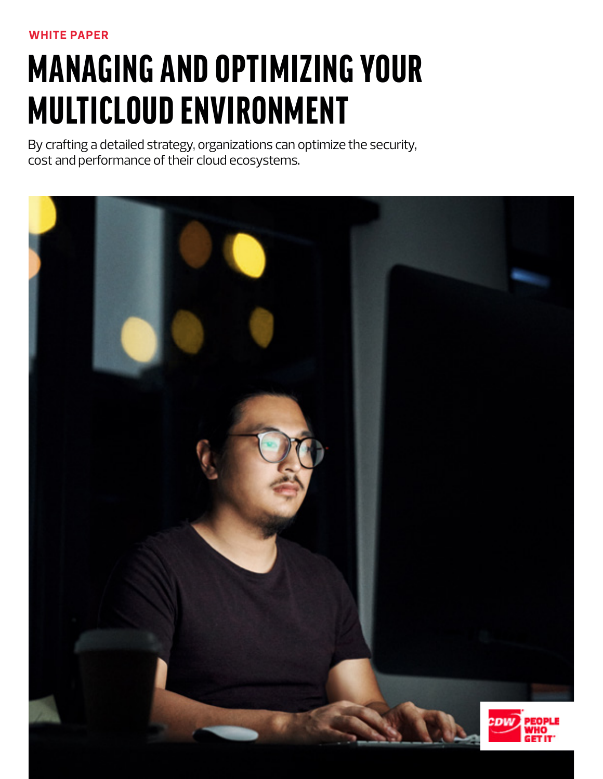# MANAGING AND OPTIMIZING YOUR MULTICLOUD ENVIRONMENT

By crafting a detailed strategy, organizations can optimize the security, cost and performance of their cloud ecosystems.

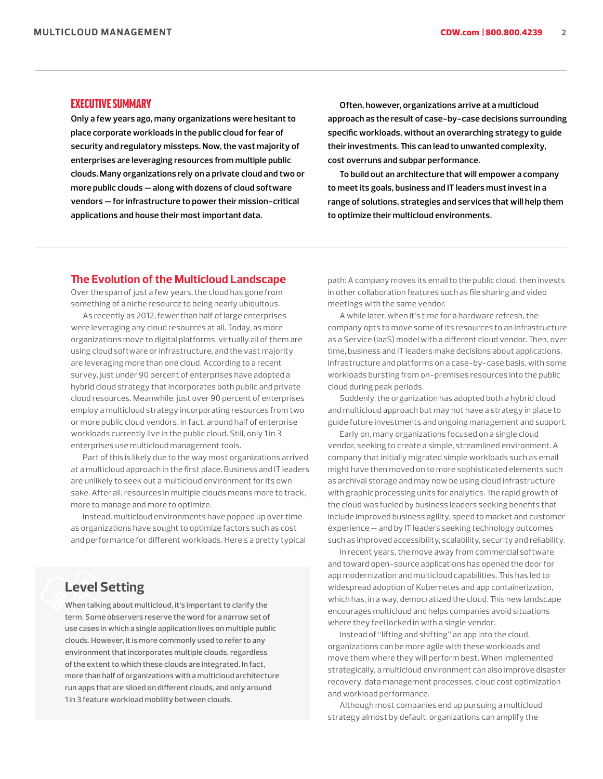## EXECUTIVE SUMMARY

**Only a few years ago, many organizations were hesitant to place corporate workloads in the public cloud for fear of security and regulatory missteps. Now, the vast majority of enterprises are leveraging resources from multiple public clouds. Many organizations rely on a private cloud and two or more public clouds — along with dozens of cloud software vendors — for infrastructure to power their mission-critical applications and house their most important data.**

**Often, however, organizations arrive at a multicloud approach as the result of case-by-case decisions surrounding specific workloads, without an overarching strategy to guide their investments. This can lead to unwanted complexity, cost overruns and subpar performance.**

**To build out an architecture that will empower a company to meet its goals, business and IT leaders must invest in a range of solutions, strategies and services that will help them to optimize their multicloud environments.**

#### **The Evolution of the Multicloud Landscape**

Over the span of just a few years, the cloud has gone from something of a niche resource to being nearly ubiquitous.

As recently as 2012, fewer than half of large enterprises were leveraging any cloud resources at all. Today, as more organizations move to digital platforms, virtually all of them are using cloud software or infrastructure, and the vast majority are leveraging more than one cloud. According to a recent survey, just under 90 percent of enterprises have adopted a hybrid cloud strategy that incorporates both public and private cloud resources. Meanwhile, just over 90 percent of enterprises employ a multicloud strategy incorporating resources from two or more public cloud vendors. In fact, around half of enterprise workloads currently live in the public cloud. Still, only 1 in 3 enterprises use multicloud management tools.

Part of this is likely due to the way most organizations arrived at a multicloud approach in the first place. Business and IT leaders are unlikely to seek out a multicloud environment for its own sake. After all, resources in multiple clouds means more to track, more to manage and more to optimize.

Instead, multicloud environments have popped up over time as organizations have sought to optimize factors such as cost and performance for different workloads. Here's a pretty typical

# **Level Setting**

When talking about multicloud, it's important to clarify the term. Some observers reserve the word for a narrow set of use cases in which a single application lives on multiple public clouds. However, it is more commonly used to refer to any environment that incorporates multiple clouds, regardless of the extent to which these clouds are integrated. In fact, more than half of organizations with a multicloud architecture run apps that are siloed on different clouds, and only around 1 in 3 feature workload mobility between clouds.

path: A company moves its email to the public cloud, then invests in other collaboration features such as file sharing and video meetings with the same vendor.

A while later, when it's time for a hardware refresh, the company opts to move some of its resources to an Infrastructure as a Service (IaaS) model with a different cloud vendor. Then, over time, business and IT leaders make decisions about applications, infrastructure and platforms on a case-by-case basis, with some workloads bursting from on-premises resources into the public cloud during peak periods.

Suddenly, the organization has adopted both a hybrid cloud and multicloud approach but may not have a strategy in place to guide future investments and ongoing management and support.

Early on, many organizations focused on a single cloud vendor, seeking to create a simple, streamlined environment. A company that initially migrated simple workloads such as email might have then moved on to more sophisticated elements such as archival storage and may now be using cloud infrastructure with graphic processing units for analytics. The rapid growth of the cloud was fueled by business leaders seeking benefits that include improved business agility, speed to market and customer experience — and by IT leaders seeking technology outcomes such as improved accessibility, scalability, security and reliability.

In recent years, the move away from commercial software and toward open-source applications has opened the door for app modernization and multicloud capabilities. This has led to widespread adoption of Kubernetes and app containerization, which has, in a way, democratized the cloud. This new landscape encourages multicloud and helps companies avoid situations where they feel locked in with a single vendor.

Instead of "lifting and shifting" an app into the cloud, organizations can be more agile with these workloads and move them where they will perform best. When implemented strategically, a multicloud environment can also improve disaster recovery, data management processes, cloud cost optimization and workload performance.

Although most companies end up pursuing a multicloud strategy almost by default, organizations can amplify the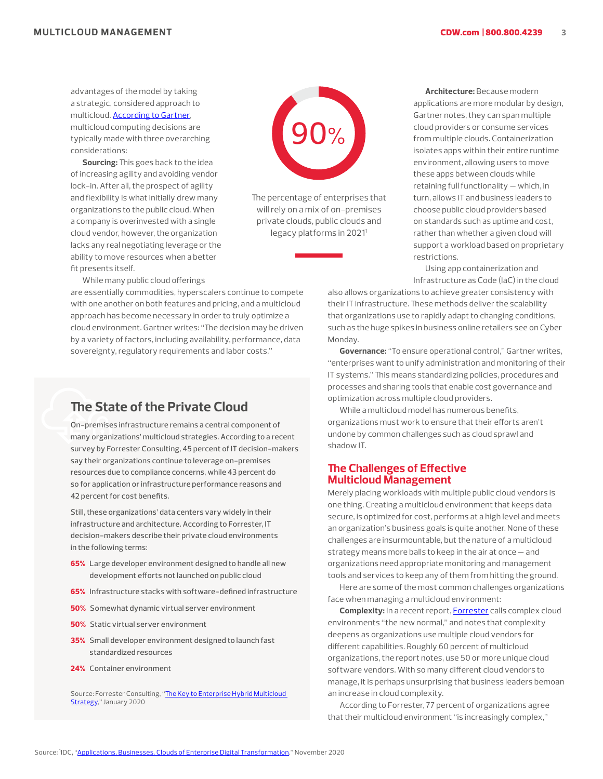advantages of the model by taking a strategic, considered approach to multicloud. [According to Gartner,](https://www.gartner.com/smarterwithgartner/why-organizations-choose-a-multicloud-strategy/) multicloud computing decisions are typically made with three overarching considerations:

**Sourcing:** This goes back to the idea of increasing agility and avoiding vendor lock-in. After all, the prospect of agility and flexibility is what initially drew many organizations to the public cloud. When a company is overinvested with a single cloud vendor, however, the organization lacks any real negotiating leverage or the ability to move resources when a better fit presents itself.

90%%

The percentage of enterprises that will rely on a mix of on-premises private clouds, public clouds and legacy platforms in 20211

**Architecture:** Because modern applications are more modular by design, Gartner notes, they can span multiple cloud providers or consume services from multiple clouds. Containerization isolates apps within their entire runtime environment, allowing users to move these apps between clouds while retaining full functionality — which, in turn, allows IT and business leaders to choose public cloud providers based on standards such as uptime and cost, rather than whether a given cloud will support a workload based on proprietary restrictions.

Using app containerization and Infrastructure as Code (IaC) in the cloud

also allows organizations to achieve greater consistency with their IT infrastructure. These methods deliver the scalability that organizations use to rapidly adapt to changing conditions, such as the huge spikes in business online retailers see on Cyber Monday.

**Governance:** "To ensure operational control," Gartner writes, "enterprises want to unify administration and monitoring of their IT systems." This means standardizing policies, procedures and processes and sharing tools that enable cost governance and optimization across multiple cloud providers.

While a multicloud model has numerous benefits, organizations must work to ensure that their efforts aren't undone by common challenges such as cloud sprawl and shadow IT.

## **The Challenges of Effective Multicloud Management**

Merely placing workloads with multiple public cloud vendors is one thing. Creating a multicloud environment that keeps data secure, is optimized for cost, performs at a high level and meets an organization's business goals is quite another. None of these challenges are insurmountable, but the nature of a multicloud strategy means more balls to keep in the air at once — and organizations need appropriate monitoring and management tools and services to keep any of them from hitting the ground.

Here are some of the most common challenges organizations face when managing a multicloud environment:

**Complexity:** In a recent report, [Forrester](https://www.delltechnologies.com/en-ca/collaterals/unauth/analyst-reports/solutions/dell-multicloud-complexity-tlp.pdf) calls complex cloud environments "the new normal," and notes that complexity deepens as organizations use multiple cloud vendors for different capabilities. Roughly 60 percent of multicloud organizations, the report notes, use 50 or more unique cloud software vendors. With so many different cloud vendors to manage, it is perhaps unsurprising that business leaders bemoan an increase in cloud complexity.

According to Forrester, 77 percent of organizations agree that their multicloud environment "is increasingly complex,"

While many public cloud offerings

are essentially commodities, hyperscalers continue to compete with one another on both features and pricing, and a multicloud approach has become necessary in order to truly optimize a cloud environment. Gartner writes: "The decision may be driven by a variety of factors, including availability, performance, data sovereignty, regulatory requirements and labor costs."

# **The State of the Private Cloud**

On-premises infrastructure remains a central component of many organizations' multicloud strategies. According to a recent survey by Forrester Consulting, 45 percent of IT decision-makers say their organizations continue to leverage on-premises resources due to compliance concerns, while 43 percent do so for application or infrastructure performance reasons and 42 percent for cost benefits.

Still, these organizations' data centers vary widely in their infrastructure and architecture. According to Forrester, IT decision-makers describe their private cloud environments in the following terms:

- 65% Large developer environment designed to handle all new development efforts not launched on public cloud
- 65% Infrastructure stacks with software-defined infrastructure
- **50%** Somewhat dynamic virtual server environment
- 50% Static virtual server environment
- 35% Small developer environment designed to launch fast standardized resources
- 24% Container environment

Source: Forrester Consulting, "The Key to Enterprise Hybrid Multicloud [Strategy,](https://tech-prospect.com/cloud/the-key-to-enterprise-hybrid-multicloud-strategy/)" January 2020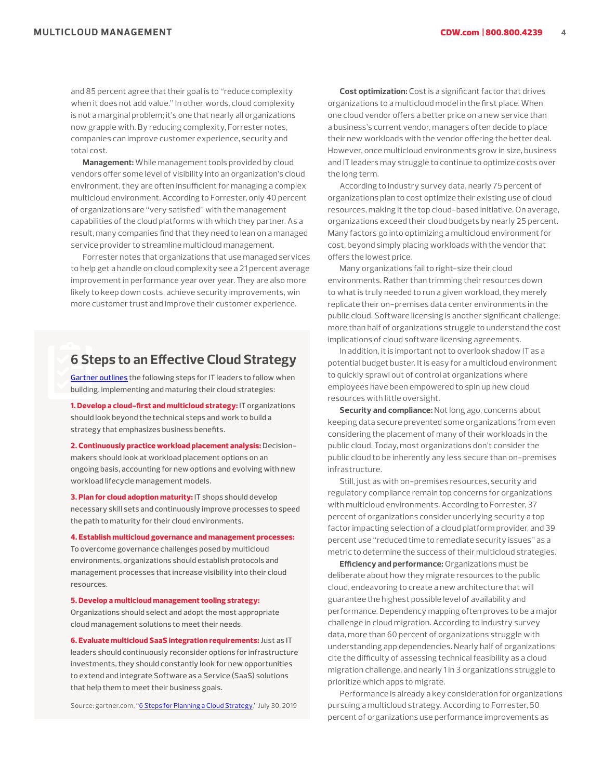and 85 percent agree that their goal is to "reduce complexity when it does not add value." In other words, cloud complexity is not a marginal problem; it's one that nearly all organizations now grapple with. By reducing complexity, Forrester notes, companies can improve customer experience, security and total cost.

**Management:** While management tools provided by cloud vendors offer some level of visibility into an organization's cloud environment, they are often insufficient for managing a complex multicloud environment. According to Forrester, only 40 percent of organizations are "very satisfied" with the management capabilities of the cloud platforms with which they partner. As a result, many companies find that they need to lean on a managed service provider to streamline multicloud management.

Forrester notes that organizations that use managed services to help get a handle on cloud complexity see a 21 percent average improvement in performance year over year. They are also more likely to keep down costs, achieve security improvements, win more customer trust and improve their customer experience.

# **6 Steps to an Effective Cloud Strategy**

[Gartner outlines](https://emtemp.gcom.cloud/ngw/eventassets/en/conferences/iome9/documents/gartner-io-cloud-germany-infographic-cloud-strategy-6-steps.pdf) the following steps for IT leaders to follow when building, implementing and maturing their cloud strategies:

1. Develop a cloud-first and multicloud strategy: IT organizations should look beyond the technical steps and work to build a strategy that emphasizes business benefits.

2. Continuously practice workload placement analysis: Decisionmakers should look at workload placement options on an ongoing basis, accounting for new options and evolving with new workload lifecycle management models.

3. Plan for cloud adoption maturity: IT shops should develop necessary skill sets and continuously improve processes to speed the path to maturity for their cloud environments.

4. Establish multicloud governance and management processes: To overcome governance challenges posed by multicloud environments, organizations should establish protocols and management processes that increase visibility into their cloud resources.

5. Develop a multicloud management tooling strategy: Organizations should select and adopt the most appropriate cloud management solutions to meet their needs.

6. Evaluate multicloud SaaS integration requirements: Just as IT leaders should continuously reconsider options for infrastructure investments, they should constantly look for new opportunities to extend and integrate Software as a Service (SaaS) solutions that help them to meet their business goals.

Source: gartner.com, ["6 Steps for Planning a Cloud Strategy,](https://www.gartner.com/smarterwithgartner/6-steps-for-planning-a-cloud-strategy/)" July 30, 2019

**Cost optimization:** Cost is a significant factor that drives organizations to a multicloud model in the first place. When one cloud vendor offers a better price on a new service than a business's current vendor, managers often decide to place their new workloads with the vendor offering the better deal. However, once multicloud environments grow in size, business and IT leaders may struggle to continue to optimize costs over the long term.

According to industry survey data, nearly 75 percent of organizations plan to cost optimize their existing use of cloud resources, making it the top cloud-based initiative. On average, organizations exceed their cloud budgets by nearly 25 percent. Many factors go into optimizing a multicloud environment for cost, beyond simply placing workloads with the vendor that offers the lowest price.

Many organizations fail to right-size their cloud environments. Rather than trimming their resources down to what is truly needed to run a given workload, they merely replicate their on-premises data center environments in the public cloud. Software licensing is another significant challenge; more than half of organizations struggle to understand the cost implications of cloud software licensing agreements.

In addition, it is important not to overlook shadow IT as a potential budget buster. It is easy for a multicloud environment to quickly sprawl out of control at organizations where employees have been empowered to spin up new cloud resources with little oversight.

**Security and compliance:** Not long ago, concerns about keeping data secure prevented some organizations from even considering the placement of many of their workloads in the public cloud. Today, most organizations don't consider the public cloud to be inherently any less secure than on-premises infrastructure.

Still, just as with on-premises resources, security and regulatory compliance remain top concerns for organizations with multicloud environments. According to Forrester, 37 percent of organizations consider underlying security a top factor impacting selection of a cloud platform provider, and 39 percent use "reduced time to remediate security issues" as a metric to determine the success of their multicloud strategies.

**Efficiency and performance:** Organizations must be deliberate about how they migrate resources to the public cloud, endeavoring to create a new architecture that will guarantee the highest possible level of availability and performance. Dependency mapping often proves to be a major challenge in cloud migration. According to industry survey data, more than 60 percent of organizations struggle with understanding app dependencies. Nearly half of organizations cite the difficulty of assessing technical feasibility as a cloud migration challenge, and nearly 1 in 3 organizations struggle to prioritize which apps to migrate.

Performance is already a key consideration for organizations pursuing a multicloud strategy. According to Forrester, 50 percent of organizations use performance improvements as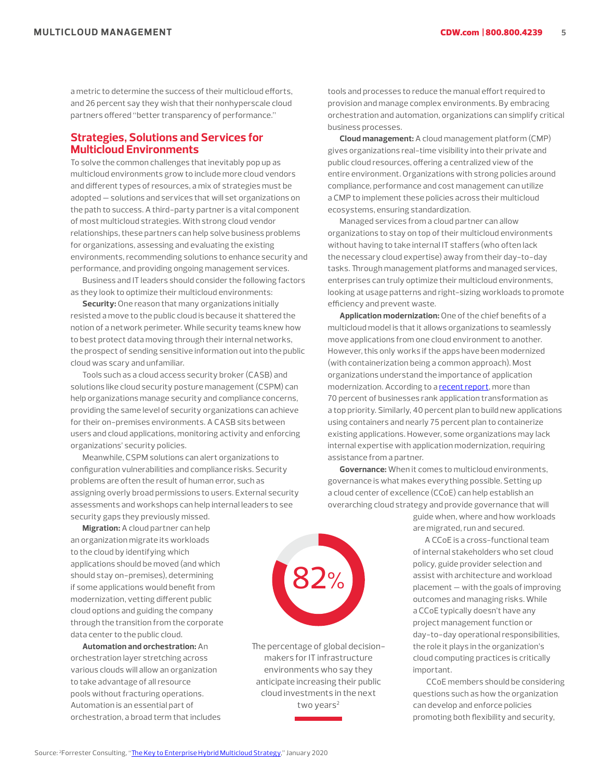a metric to determine the success of their multicloud efforts, and 26 percent say they wish that their nonhyperscale cloud partners offered "better transparency of performance."

## **Strategies, Solutions and Services for Multicloud Environments**

To solve the common challenges that inevitably pop up as multicloud environments grow to include more cloud vendors and different types of resources, a mix of strategies must be adopted — solutions and services that will set organizations on the path to success. A third-party partner is a vital component of most multicloud strategies. With strong cloud vendor relationships, these partners can help solve business problems for organizations, assessing and evaluating the existing environments, recommending solutions to enhance security and performance, and providing ongoing management services.

Business and IT leaders should consider the following factors as they look to optimize their multicloud environments:

**Security:** One reason that many organizations initially resisted a move to the public cloud is because it shattered the notion of a network perimeter. While security teams knew how to best protect data moving through their internal networks, the prospect of sending sensitive information out into the public cloud was scary and unfamiliar.

Tools such as a cloud access security broker (CASB) and solutions like cloud security posture management (CSPM) can help organizations manage security and compliance concerns, providing the same level of security organizations can achieve for their on-premises environments. A CASB sits between users and cloud applications, monitoring activity and enforcing organizations' security policies.

Meanwhile, CSPM solutions can alert organizations to configuration vulnerabilities and compliance risks. Security problems are often the result of human error, such as assigning overly broad permissions to users. External security assessments and workshops can help internal leaders to see security gaps they previously missed.

**Migration:** A cloud partner can help an organization migrate its workloads to the cloud by identifying which applications should be moved (and which should stay on-premises), determining if some applications would benefit from modernization, vetting different public cloud options and guiding the company through the transition from the corporate data center to the public cloud.

**Automation and orchestration:** An orchestration layer stretching across various clouds will allow an organization to take advantage of all resource pools without fracturing operations. Automation is an essential part of orchestration, a broad term that includes tools and processes to reduce the manual effort required to provision and manage complex environments. By embracing orchestration and automation, organizations can simplify critical business processes.

**Cloud management:** A cloud management platform (CMP) gives organizations real-time visibility into their private and public cloud resources, offering a centralized view of the entire environment. Organizations with strong policies around compliance, performance and cost management can utilize a CMP to implement these policies across their multicloud ecosystems, ensuring standardization.

Managed services from a cloud partner can allow organizations to stay on top of their multicloud environments without having to take internal IT staffers (who often lack the necessary cloud expertise) away from their day-to-day tasks. Through management platforms and managed services, enterprises can truly optimize their multicloud environments, looking at usage patterns and right-sizing workloads to promote efficiency and prevent waste.

**Application modernization:** One of the chief benefits of a multicloud model is that it allows organizations to seamlessly move applications from one cloud environment to another. However, this only works if the apps have been modernized (with containerization being a common approach). Most organizations understand the importance of application modernization. According to a [recent report,](https://cloud.vmware.com/community/2020/03/12/new-report-app-modernization-multi-cloud-world/) more than 70 percent of businesses rank application transformation as a top priority. Similarly, 40 percent plan to build new applications using containers and nearly 75 percent plan to containerize existing applications. However, some organizations may lack internal expertise with application modernization, requiring assistance from a partner.

**Governance:** When it comes to multicloud environments, governance is what makes everything possible. Setting up a cloud center of excellence (CCoE) can help establish an overarching cloud strategy and provide governance that will

> guide when, where and how workloads are migrated, run and secured.

A CCoE is a cross-functional team of internal stakeholders who set cloud policy, guide provider selection and assist with architecture and workload placement — with the goals of improving outcomes and managing risks. While a CCoE typically doesn't have any project management function or day-to-day operational responsibilities, the role it plays in the organization's cloud computing practices is critically important.

 CCoE members should be considering questions such as how the organization can develop and enforce policies promoting both flexibility and security,



The percentage of global decisionmakers for IT infrastructure environments who say they anticipate increasing their public cloud investments in the next two years<sup>2</sup>